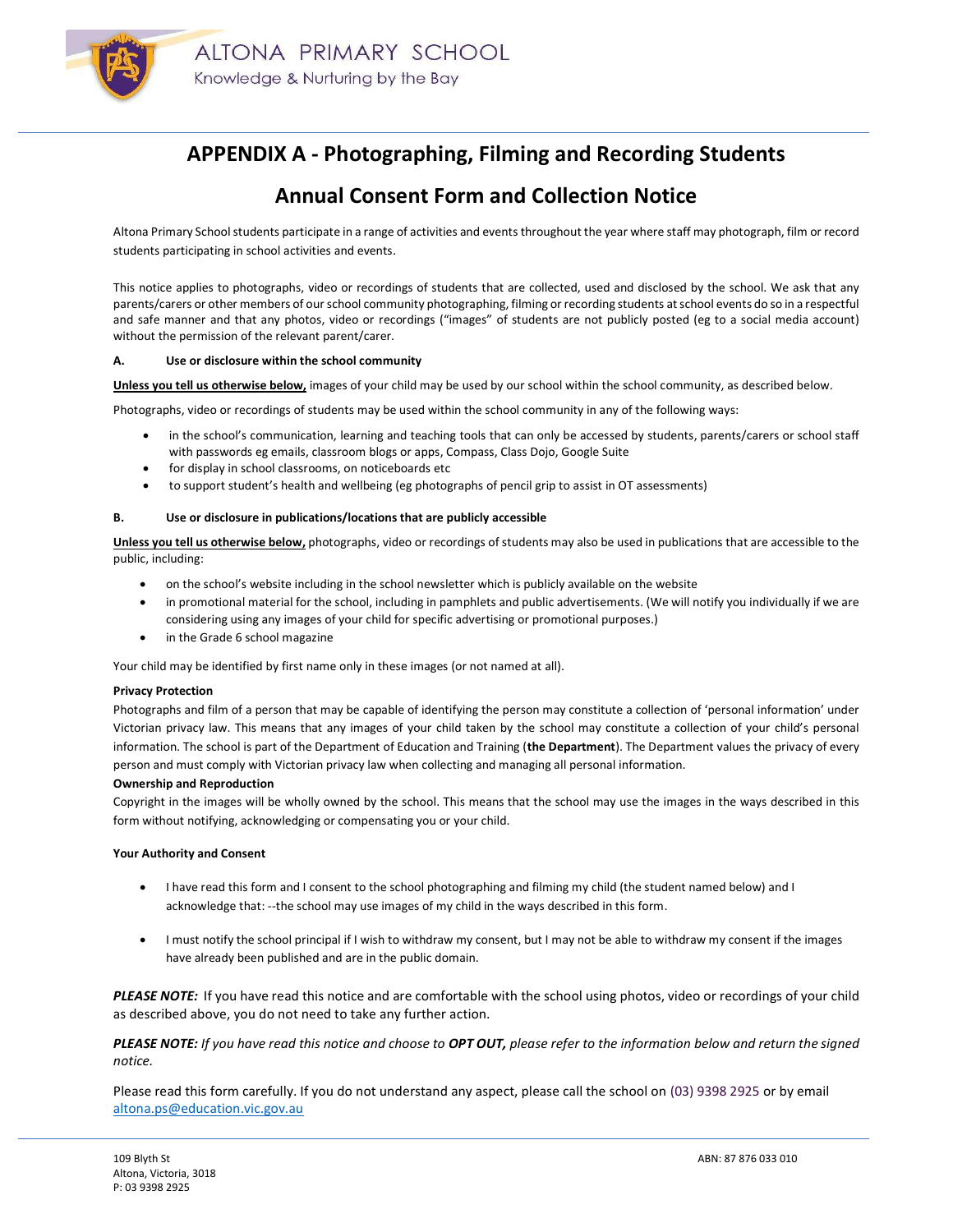

# APPENDIX A - Photographing, Filming and Recording Students

## Annual Consent Form and Collection Notice

Altona Primary School students participate in a range of activities and events throughout the year where staff may photograph, film or record students participating in school activities and events.

This notice applies to photographs, video or recordings of students that are collected, used and disclosed by the school. We ask that any parents/carers or other members of our school community photographing, filming or recording students at school events do so in a respectful and safe manner and that any photos, video or recordings ("images" of students are not publicly posted (eg to a social media account) without the permission of the relevant parent/carer.

## A. Use or disclosure within the school community

Unless you tell us otherwise below, images of your child may be used by our school within the school community, as described below.

Photographs, video or recordings of students may be used within the school community in any of the following ways:

- in the school's communication, learning and teaching tools that can only be accessed by students, parents/carers or school staff with passwords eg emails, classroom blogs or apps, Compass, Class Dojo, Google Suite
- for display in school classrooms, on noticeboards etc
- to support student's health and wellbeing (eg photographs of pencil grip to assist in OT assessments)

#### B. Use or disclosure in publications/locations that are publicly accessible

Unless you tell us otherwise below, photographs, video or recordings of students may also be used in publications that are accessible to the public, including:

- on the school's website including in the school newsletter which is publicly available on the website
- in promotional material for the school, including in pamphlets and public advertisements. (We will notify you individually if we are considering using any images of your child for specific advertising or promotional purposes.)
- in the Grade 6 school magazine

Your child may be identified by first name only in these images (or not named at all).

#### Privacy Protection

Photographs and film of a person that may be capable of identifying the person may constitute a collection of 'personal information' under Victorian privacy law. This means that any images of your child taken by the school may constitute a collection of your child's personal information. The school is part of the Department of Education and Training (the Department). The Department values the privacy of every person and must comply with Victorian privacy law when collecting and managing all personal information.

#### Ownership and Reproduction

Copyright in the images will be wholly owned by the school. This means that the school may use the images in the ways described in this form without notifying, acknowledging or compensating you or your child.

#### Your Authority and Consent

- I have read this form and I consent to the school photographing and filming my child (the student named below) and I acknowledge that: --the school may use images of my child in the ways described in this form.
- I must notify the school principal if I wish to withdraw my consent, but I may not be able to withdraw my consent if the images have already been published and are in the public domain.

PLEASE NOTE: If you have read this notice and are comfortable with the school using photos, video or recordings of your child as described above, you do not need to take any further action.

PLEASE NOTE: If you have read this notice and choose to OPT OUT, please refer to the information below and return the signed notice.

Please read this form carefully. If you do not understand any aspect, please call the school on (03) 9398 2925 or by email altona.ps@education.vic.gov.au